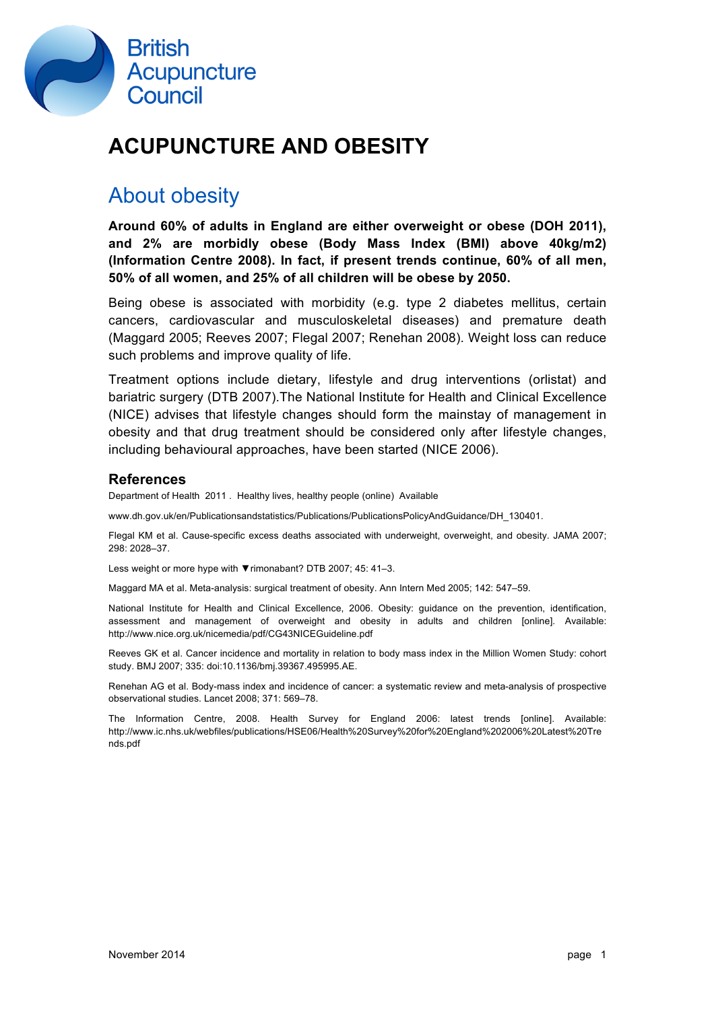

# **ACUPUNCTURE AND OBESITY**

## About obesity

**Around 60% of adults in England are either overweight or obese (DOH 2011), and 2% are morbidly obese (Body Mass Index (BMI) above 40kg/m2) (Information Centre 2008). In fact, if present trends continue, 60% of all men, 50% of all women, and 25% of all children will be obese by 2050.** 

Being obese is associated with morbidity (e.g. type 2 diabetes mellitus, certain cancers, cardiovascular and musculoskeletal diseases) and premature death (Maggard 2005; Reeves 2007; Flegal 2007; Renehan 2008). Weight loss can reduce such problems and improve quality of life.

Treatment options include dietary, lifestyle and drug interventions (orlistat) and bariatric surgery (DTB 2007).The National Institute for Health and Clinical Excellence (NICE) advises that lifestyle changes should form the mainstay of management in obesity and that drug treatment should be considered only after lifestyle changes, including behavioural approaches, have been started (NICE 2006).

### **References**

Department of Health 2011 . Healthy lives, healthy people (online) Available

www.dh.gov.uk/en/Publicationsandstatistics/Publications/PublicationsPolicyAndGuidance/DH\_130401.

Flegal KM et al. Cause-specific excess deaths associated with underweight, overweight, and obesity. JAMA 2007; 298: 2028–37.

Less weight or more hype with ▼rimonabant? DTB 2007; 45: 41–3.

Maggard MA et al. Meta-analysis: surgical treatment of obesity. Ann Intern Med 2005; 142: 547–59.

National Institute for Health and Clinical Excellence, 2006. Obesity: guidance on the prevention, identification, assessment and management of overweight and obesity in adults and children [online]. Available: http://www.nice.org.uk/nicemedia/pdf/CG43NICEGuideline.pdf

Reeves GK et al. Cancer incidence and mortality in relation to body mass index in the Million Women Study: cohort study. BMJ 2007; 335: doi:10.1136/bmj.39367.495995.AE.

Renehan AG et al. Body-mass index and incidence of cancer: a systematic review and meta-analysis of prospective observational studies. Lancet 2008; 371: 569–78.

The Information Centre, 2008. Health Survey for England 2006: latest trends [online]. Available: http://www.ic.nhs.uk/webfiles/publications/HSE06/Health%20Survey%20for%20England%202006%20Latest%20Tre nds.pdf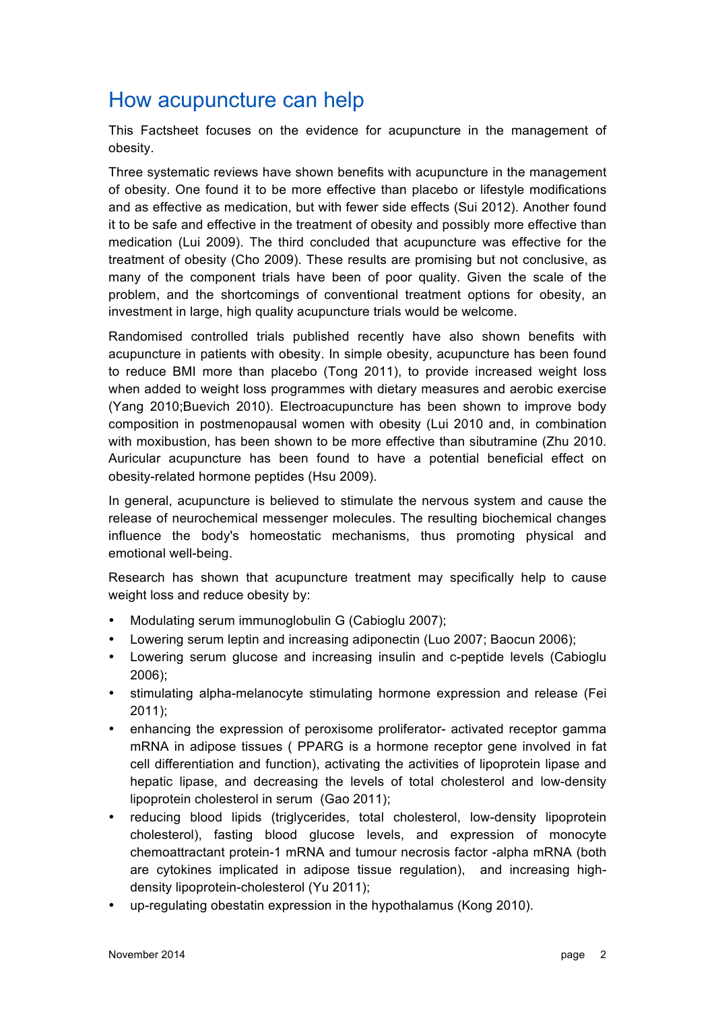## How acupuncture can help

This Factsheet focuses on the evidence for acupuncture in the management of obesity.

Three systematic reviews have shown benefits with acupuncture in the management of obesity. One found it to be more effective than placebo or lifestyle modifications and as effective as medication, but with fewer side effects (Sui 2012). Another found it to be safe and effective in the treatment of obesity and possibly more effective than medication (Lui 2009). The third concluded that acupuncture was effective for the treatment of obesity (Cho 2009). These results are promising but not conclusive, as many of the component trials have been of poor quality. Given the scale of the problem, and the shortcomings of conventional treatment options for obesity, an investment in large, high quality acupuncture trials would be welcome.

Randomised controlled trials published recently have also shown benefits with acupuncture in patients with obesity. In simple obesity, acupuncture has been found to reduce BMI more than placebo (Tong 2011), to provide increased weight loss when added to weight loss programmes with dietary measures and aerobic exercise (Yang 2010;Buevich 2010). Electroacupuncture has been shown to improve body composition in postmenopausal women with obesity (Lui 2010 and, in combination with moxibustion, has been shown to be more effective than sibutramine (Zhu 2010. Auricular acupuncture has been found to have a potential beneficial effect on obesity-related hormone peptides (Hsu 2009).

In general, acupuncture is believed to stimulate the nervous system and cause the release of neurochemical messenger molecules. The resulting biochemical changes influence the body's homeostatic mechanisms, thus promoting physical and emotional well-being.

Research has shown that acupuncture treatment may specifically help to cause weight loss and reduce obesity by:

- Modulating serum immunoglobulin G (Cabioglu 2007);
- Lowering serum leptin and increasing adiponectin (Luo 2007; Baocun 2006);
- Lowering serum glucose and increasing insulin and c-peptide levels (Cabioglu 2006);
- stimulating alpha-melanocyte stimulating hormone expression and release (Fei 2011);
- enhancing the expression of peroxisome proliferator- activated receptor gamma mRNA in adipose tissues ( PPARG is a hormone receptor gene involved in fat cell differentiation and function), activating the activities of lipoprotein lipase and hepatic lipase, and decreasing the levels of total cholesterol and low-density lipoprotein cholesterol in serum (Gao 2011);
- reducing blood lipids (triglycerides, total cholesterol, low-density lipoprotein cholesterol), fasting blood glucose levels, and expression of monocyte chemoattractant protein-1 mRNA and tumour necrosis factor -alpha mRNA (both are cytokines implicated in adipose tissue regulation), and increasing highdensity lipoprotein-cholesterol (Yu 2011);
- up-regulating obestatin expression in the hypothalamus (Kong 2010).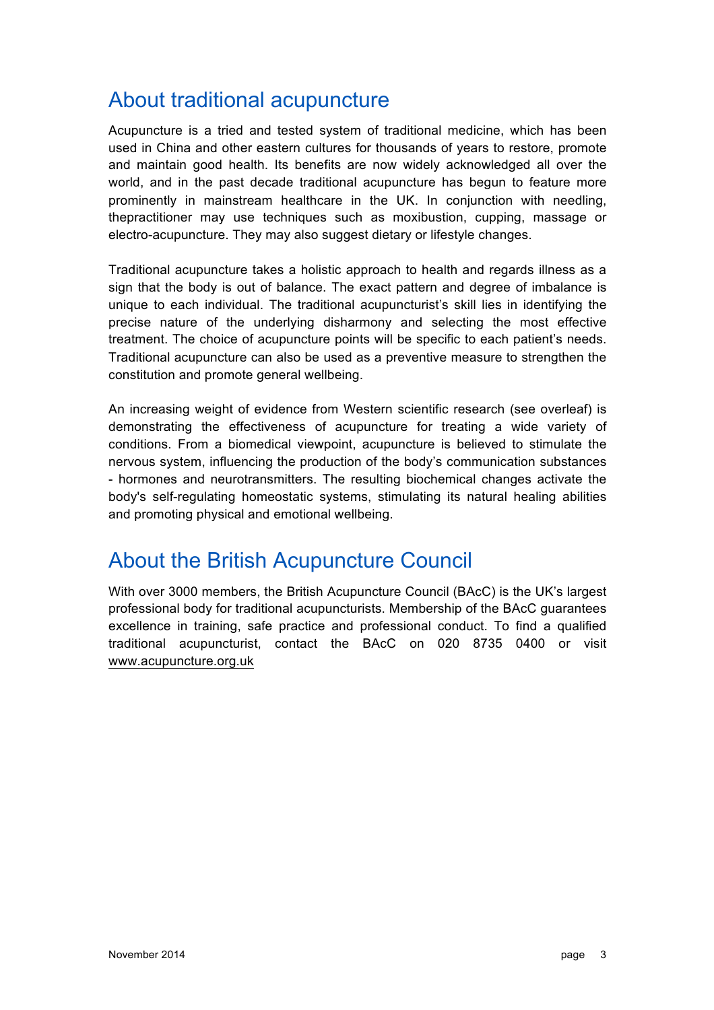## About traditional acupuncture

Acupuncture is a tried and tested system of traditional medicine, which has been used in China and other eastern cultures for thousands of years to restore, promote and maintain good health. Its benefits are now widely acknowledged all over the world, and in the past decade traditional acupuncture has begun to feature more prominently in mainstream healthcare in the UK. In conjunction with needling, thepractitioner may use techniques such as moxibustion, cupping, massage or electro-acupuncture. They may also suggest dietary or lifestyle changes.

Traditional acupuncture takes a holistic approach to health and regards illness as a sign that the body is out of balance. The exact pattern and degree of imbalance is unique to each individual. The traditional acupuncturist's skill lies in identifying the precise nature of the underlying disharmony and selecting the most effective treatment. The choice of acupuncture points will be specific to each patient's needs. Traditional acupuncture can also be used as a preventive measure to strengthen the constitution and promote general wellbeing.

An increasing weight of evidence from Western scientific research (see overleaf) is demonstrating the effectiveness of acupuncture for treating a wide variety of conditions. From a biomedical viewpoint, acupuncture is believed to stimulate the nervous system, influencing the production of the body's communication substances - hormones and neurotransmitters. The resulting biochemical changes activate the body's self-regulating homeostatic systems, stimulating its natural healing abilities and promoting physical and emotional wellbeing.

### About the British Acupuncture Council

With over 3000 members, the British Acupuncture Council (BAcC) is the UK's largest professional body for traditional acupuncturists. Membership of the BAcC guarantees excellence in training, safe practice and professional conduct. To find a qualified traditional acupuncturist, contact the BAcC on 020 8735 0400 or visit www.acupuncture.org.uk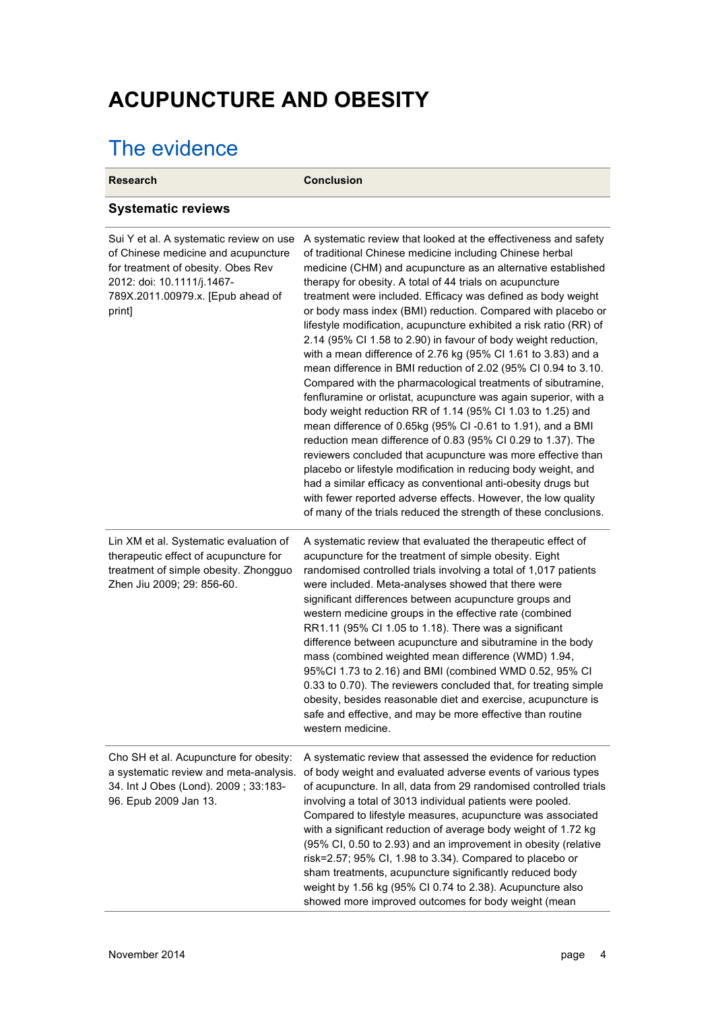# **ACUPUNCTURE AND OBESITY**

# The evidence

| <b>Research</b>                                                                                                                                                                                   | <b>Conclusion</b>                                                                                                                                                                                                                                                                                                                                                                                                                                                                                                                                                                                                                                                                                                                                                                                                                                                                                                                                                                                                                                                                                                                                                                                                                                                                                                                          |
|---------------------------------------------------------------------------------------------------------------------------------------------------------------------------------------------------|--------------------------------------------------------------------------------------------------------------------------------------------------------------------------------------------------------------------------------------------------------------------------------------------------------------------------------------------------------------------------------------------------------------------------------------------------------------------------------------------------------------------------------------------------------------------------------------------------------------------------------------------------------------------------------------------------------------------------------------------------------------------------------------------------------------------------------------------------------------------------------------------------------------------------------------------------------------------------------------------------------------------------------------------------------------------------------------------------------------------------------------------------------------------------------------------------------------------------------------------------------------------------------------------------------------------------------------------|
| <b>Systematic reviews</b>                                                                                                                                                                         |                                                                                                                                                                                                                                                                                                                                                                                                                                                                                                                                                                                                                                                                                                                                                                                                                                                                                                                                                                                                                                                                                                                                                                                                                                                                                                                                            |
| Sui Y et al. A systematic review on use<br>of Chinese medicine and acupuncture<br>for treatment of obesity. Obes Rev<br>2012: doi: 10.1111/j.1467-<br>789X.2011.00979.x. [Epub ahead of<br>print] | A systematic review that looked at the effectiveness and safety<br>of traditional Chinese medicine including Chinese herbal<br>medicine (CHM) and acupuncture as an alternative established<br>therapy for obesity. A total of 44 trials on acupuncture<br>treatment were included. Efficacy was defined as body weight<br>or body mass index (BMI) reduction. Compared with placebo or<br>lifestyle modification, acupuncture exhibited a risk ratio (RR) of<br>2.14 (95% CI 1.58 to 2.90) in favour of body weight reduction,<br>with a mean difference of 2.76 kg (95% CI 1.61 to 3.83) and a<br>mean difference in BMI reduction of 2.02 (95% CI 0.94 to 3.10.<br>Compared with the pharmacological treatments of sibutramine,<br>fenfluramine or orlistat, acupuncture was again superior, with a<br>body weight reduction RR of 1.14 (95% CI 1.03 to 1.25) and<br>mean difference of 0.65kg (95% CI-0.61 to 1.91), and a BMI<br>reduction mean difference of 0.83 (95% CI 0.29 to 1.37). The<br>reviewers concluded that acupuncture was more effective than<br>placebo or lifestyle modification in reducing body weight, and<br>had a similar efficacy as conventional anti-obesity drugs but<br>with fewer reported adverse effects. However, the low quality<br>of many of the trials reduced the strength of these conclusions. |
| Lin XM et al. Systematic evaluation of<br>therapeutic effect of acupuncture for<br>treatment of simple obesity. Zhongguo<br>Zhen Jiu 2009; 29: 856-60.                                            | A systematic review that evaluated the therapeutic effect of<br>acupuncture for the treatment of simple obesity. Eight<br>randomised controlled trials involving a total of 1,017 patients<br>were included. Meta-analyses showed that there were<br>significant differences between acupuncture groups and<br>western medicine groups in the effective rate (combined<br>RR1.11 (95% CI 1.05 to 1.18). There was a significant<br>difference between acupuncture and sibutramine in the body<br>mass (combined weighted mean difference (WMD) 1.94,<br>95%Cl 1.73 to 2.16) and BMI (combined WMD 0.52, 95% CI<br>0.33 to 0.70). The reviewers concluded that, for treating simple<br>obesity, besides reasonable diet and exercise, acupuncture is<br>safe and effective, and may be more effective than routine<br>western medicine.                                                                                                                                                                                                                                                                                                                                                                                                                                                                                                     |
| Cho SH et al. Acupuncture for obesity:<br>a systematic review and meta-analysis.<br>34. Int J Obes (Lond). 2009; 33:183-<br>96. Epub 2009 Jan 13.                                                 | A systematic review that assessed the evidence for reduction<br>of body weight and evaluated adverse events of various types<br>of acupuncture. In all, data from 29 randomised controlled trials<br>involving a total of 3013 individual patients were pooled.<br>Compared to lifestyle measures, acupuncture was associated<br>with a significant reduction of average body weight of 1.72 kg<br>(95% CI, 0.50 to 2.93) and an improvement in obesity (relative<br>risk=2.57; 95% CI, 1.98 to 3.34). Compared to placebo or<br>sham treatments, acupuncture significantly reduced body<br>weight by 1.56 kg (95% CI 0.74 to 2.38). Acupuncture also<br>showed more improved outcomes for body weight (mean                                                                                                                                                                                                                                                                                                                                                                                                                                                                                                                                                                                                                               |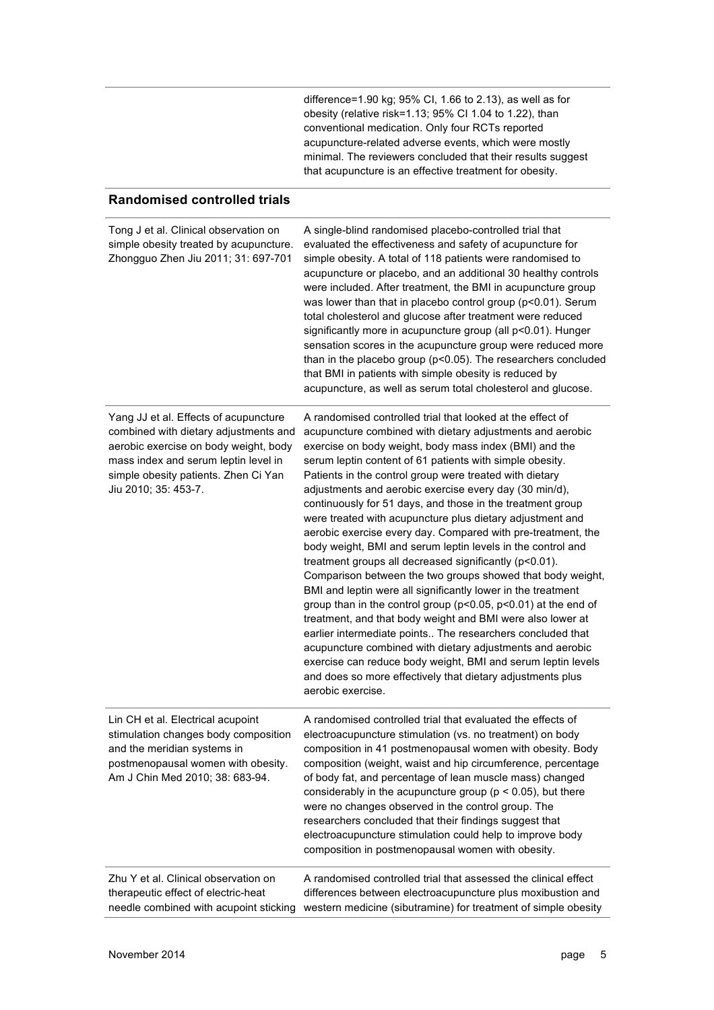| difference=1.90 kg; 95% CI, 1.66 to 2.13), as well as for   |
|-------------------------------------------------------------|
| obesity (relative risk=1.13; 95% CI 1.04 to 1.22), than     |
| conventional medication. Only four RCTs reported            |
| acupuncture-related adverse events, which were mostly       |
| minimal. The reviewers concluded that their results suggest |
| that acupuncture is an effective treatment for obesity.     |
|                                                             |

### **Randomised controlled trials**

| Tong J et al. Clinical observation on<br>simple obesity treated by acupuncture.<br>Zhongguo Zhen Jiu 2011; 31: 697-701                                                                                                          | A single-blind randomised placebo-controlled trial that<br>evaluated the effectiveness and safety of acupuncture for<br>simple obesity. A total of 118 patients were randomised to<br>acupuncture or placebo, and an additional 30 healthy controls<br>were included. After treatment, the BMI in acupuncture group<br>was lower than that in placebo control group (p<0.01). Serum<br>total cholesterol and glucose after treatment were reduced<br>significantly more in acupuncture group (all p<0.01). Hunger<br>sensation scores in the acupuncture group were reduced more<br>than in the placebo group (p<0.05). The researchers concluded<br>that BMI in patients with simple obesity is reduced by<br>acupuncture, as well as serum total cholesterol and glucose.                                                                                                                                                                                                                                                                                                                                                                                                                                                        |
|---------------------------------------------------------------------------------------------------------------------------------------------------------------------------------------------------------------------------------|------------------------------------------------------------------------------------------------------------------------------------------------------------------------------------------------------------------------------------------------------------------------------------------------------------------------------------------------------------------------------------------------------------------------------------------------------------------------------------------------------------------------------------------------------------------------------------------------------------------------------------------------------------------------------------------------------------------------------------------------------------------------------------------------------------------------------------------------------------------------------------------------------------------------------------------------------------------------------------------------------------------------------------------------------------------------------------------------------------------------------------------------------------------------------------------------------------------------------------|
| Yang JJ et al. Effects of acupuncture<br>combined with dietary adjustments and<br>aerobic exercise on body weight, body<br>mass index and serum leptin level in<br>simple obesity patients. Zhen Ci Yan<br>Jiu 2010; 35: 453-7. | A randomised controlled trial that looked at the effect of<br>acupuncture combined with dietary adjustments and aerobic<br>exercise on body weight, body mass index (BMI) and the<br>serum leptin content of 61 patients with simple obesity.<br>Patients in the control group were treated with dietary<br>adjustments and aerobic exercise every day (30 min/d),<br>continuously for 51 days, and those in the treatment group<br>were treated with acupuncture plus dietary adjustment and<br>aerobic exercise every day. Compared with pre-treatment, the<br>body weight, BMI and serum leptin levels in the control and<br>treatment groups all decreased significantly (p<0.01).<br>Comparison between the two groups showed that body weight,<br>BMI and leptin were all significantly lower in the treatment<br>group than in the control group (p<0.05, p<0.01) at the end of<br>treatment, and that body weight and BMI were also lower at<br>earlier intermediate points The researchers concluded that<br>acupuncture combined with dietary adjustments and aerobic<br>exercise can reduce body weight, BMI and serum leptin levels<br>and does so more effectively that dietary adjustments plus<br>aerobic exercise. |
| Lin CH et al. Electrical acupoint<br>stimulation changes body composition<br>and the meridian systems in<br>postmenopausal women with obesity.<br>Am J Chin Med 2010; 38: 683-94.                                               | A randomised controlled trial that evaluated the effects of<br>electroacupuncture stimulation (vs. no treatment) on body<br>composition in 41 postmenopausal women with obesity. Body<br>composition (weight, waist and hip circumference, percentage<br>of body fat, and percentage of lean muscle mass) changed<br>considerably in the acupuncture group ( $p < 0.05$ ), but there<br>were no changes observed in the control group. The<br>researchers concluded that their findings suggest that<br>electroacupuncture stimulation could help to improve body<br>composition in postmenopausal women with obesity.                                                                                                                                                                                                                                                                                                                                                                                                                                                                                                                                                                                                             |
| Zhu Y et al. Clinical observation on<br>therapeutic effect of electric-heat<br>needle combined with acupoint sticking                                                                                                           | A randomised controlled trial that assessed the clinical effect<br>differences between electroacupuncture plus moxibustion and<br>western medicine (sibutramine) for treatment of simple obesity                                                                                                                                                                                                                                                                                                                                                                                                                                                                                                                                                                                                                                                                                                                                                                                                                                                                                                                                                                                                                                   |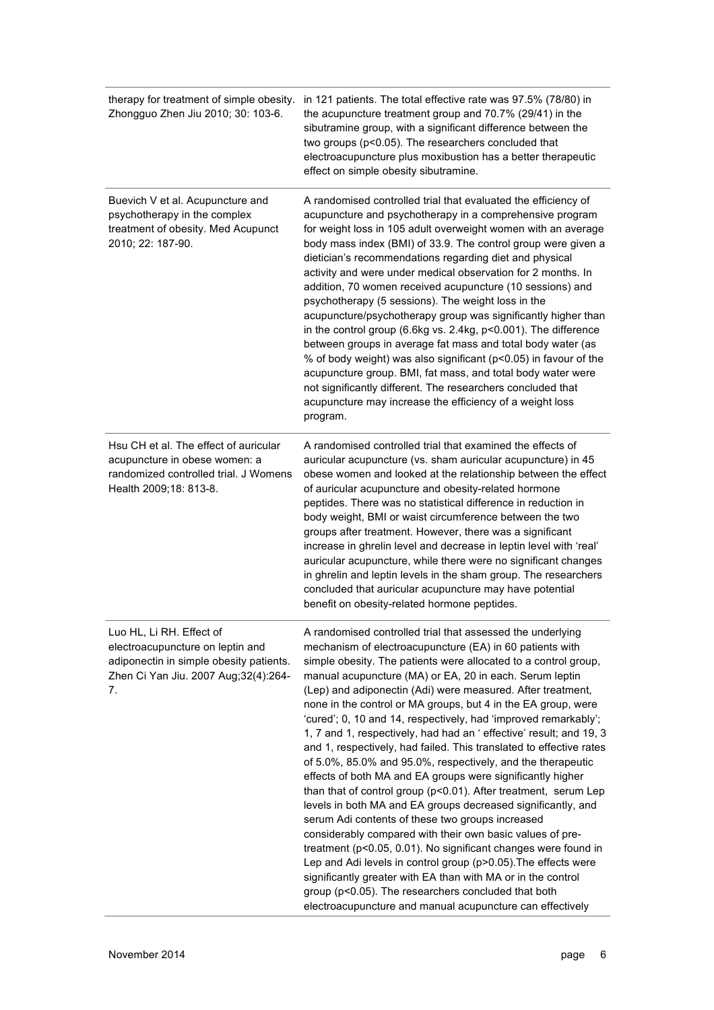| therapy for treatment of simple obesity.<br>Zhongguo Zhen Jiu 2010; 30: 103-6.                                                                        | in 121 patients. The total effective rate was 97.5% (78/80) in<br>the acupuncture treatment group and 70.7% (29/41) in the<br>sibutramine group, with a significant difference between the<br>two groups (p<0.05). The researchers concluded that<br>electroacupuncture plus moxibustion has a better therapeutic<br>effect on simple obesity sibutramine.                                                                                                                                                                                                                                                                                                                                                                                                                                                                                                                                                                                                                                                                                                                                                                                                                                                                                                                                                    |
|-------------------------------------------------------------------------------------------------------------------------------------------------------|---------------------------------------------------------------------------------------------------------------------------------------------------------------------------------------------------------------------------------------------------------------------------------------------------------------------------------------------------------------------------------------------------------------------------------------------------------------------------------------------------------------------------------------------------------------------------------------------------------------------------------------------------------------------------------------------------------------------------------------------------------------------------------------------------------------------------------------------------------------------------------------------------------------------------------------------------------------------------------------------------------------------------------------------------------------------------------------------------------------------------------------------------------------------------------------------------------------------------------------------------------------------------------------------------------------|
| Buevich V et al. Acupuncture and<br>psychotherapy in the complex<br>treatment of obesity. Med Acupunct<br>2010; 22: 187-90.                           | A randomised controlled trial that evaluated the efficiency of<br>acupuncture and psychotherapy in a comprehensive program<br>for weight loss in 105 adult overweight women with an average<br>body mass index (BMI) of 33.9. The control group were given a<br>dietician's recommendations regarding diet and physical<br>activity and were under medical observation for 2 months. In<br>addition, 70 women received acupuncture (10 sessions) and<br>psychotherapy (5 sessions). The weight loss in the<br>acupuncture/psychotherapy group was significantly higher than<br>in the control group (6.6kg vs. 2.4kg, p<0.001). The difference<br>between groups in average fat mass and total body water (as<br>% of body weight) was also significant (p<0.05) in favour of the<br>acupuncture group. BMI, fat mass, and total body water were<br>not significantly different. The researchers concluded that<br>acupuncture may increase the efficiency of a weight loss<br>program.                                                                                                                                                                                                                                                                                                                       |
| Hsu CH et al. The effect of auricular<br>acupuncture in obese women: a<br>randomized controlled trial. J Womens<br>Health 2009;18: 813-8.             | A randomised controlled trial that examined the effects of<br>auricular acupuncture (vs. sham auricular acupuncture) in 45<br>obese women and looked at the relationship between the effect<br>of auricular acupuncture and obesity-related hormone<br>peptides. There was no statistical difference in reduction in<br>body weight, BMI or waist circumference between the two<br>groups after treatment. However, there was a significant<br>increase in ghrelin level and decrease in leptin level with 'real'<br>auricular acupuncture, while there were no significant changes<br>in ghrelin and leptin levels in the sham group. The researchers<br>concluded that auricular acupuncture may have potential<br>benefit on obesity-related hormone peptides.                                                                                                                                                                                                                                                                                                                                                                                                                                                                                                                                             |
| Luo HL, Li RH. Effect of<br>electroacupuncture on leptin and<br>adiponectin in simple obesity patients.<br>Zhen Ci Yan Jiu. 2007 Aug;32(4):264-<br>7. | A randomised controlled trial that assessed the underlying<br>mechanism of electroacupuncture (EA) in 60 patients with<br>simple obesity. The patients were allocated to a control group,<br>manual acupuncture (MA) or EA, 20 in each. Serum leptin<br>(Lep) and adiponectin (Adi) were measured. After treatment,<br>none in the control or MA groups, but 4 in the EA group, were<br>'cured'; 0, 10 and 14, respectively, had 'improved remarkably';<br>1, 7 and 1, respectively, had had an 'effective' result; and 19, 3<br>and 1, respectively, had failed. This translated to effective rates<br>of 5.0%, 85.0% and 95.0%, respectively, and the therapeutic<br>effects of both MA and EA groups were significantly higher<br>than that of control group (p<0.01). After treatment, serum Lep<br>levels in both MA and EA groups decreased significantly, and<br>serum Adi contents of these two groups increased<br>considerably compared with their own basic values of pre-<br>treatment (p<0.05, 0.01). No significant changes were found in<br>Lep and Adi levels in control group (p>0.05). The effects were<br>significantly greater with EA than with MA or in the control<br>group (p<0.05). The researchers concluded that both<br>electroacupuncture and manual acupuncture can effectively |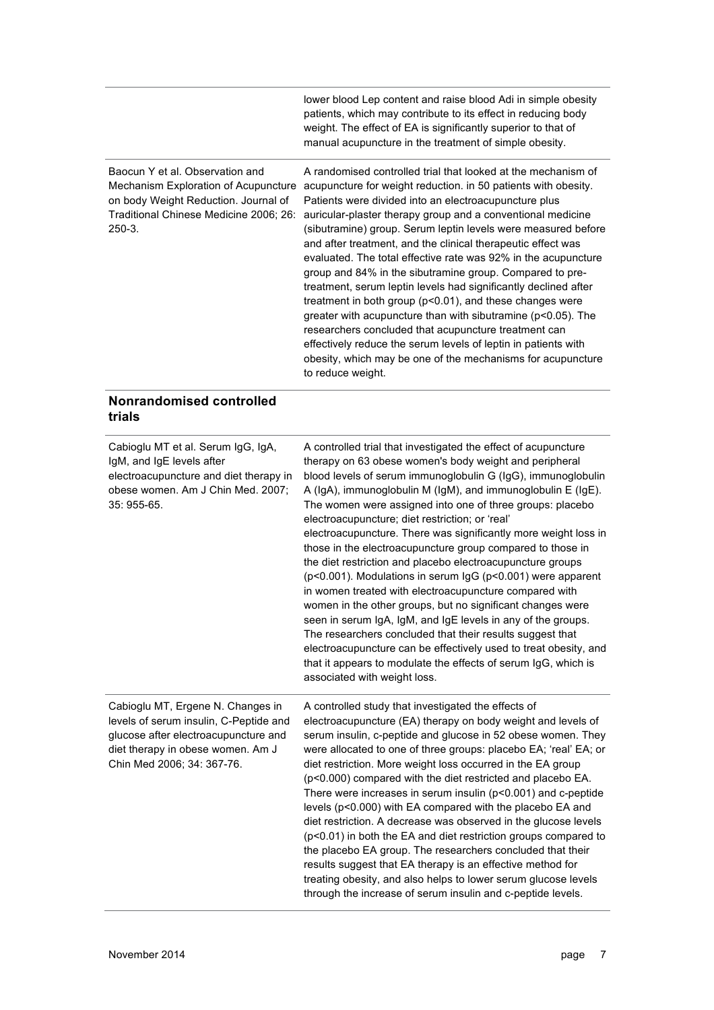|                                                                                                                                                                       | lower blood Lep content and raise blood Adi in simple obesity<br>patients, which may contribute to its effect in reducing body<br>weight. The effect of EA is significantly superior to that of<br>manual acupuncture in the treatment of simple obesity.                                                                                                                                                                                                                                                                                                                                                                                                                                                                                                                                                                                                                                                                                   |
|-----------------------------------------------------------------------------------------------------------------------------------------------------------------------|---------------------------------------------------------------------------------------------------------------------------------------------------------------------------------------------------------------------------------------------------------------------------------------------------------------------------------------------------------------------------------------------------------------------------------------------------------------------------------------------------------------------------------------------------------------------------------------------------------------------------------------------------------------------------------------------------------------------------------------------------------------------------------------------------------------------------------------------------------------------------------------------------------------------------------------------|
| Baocun Y et al. Observation and<br>Mechanism Exploration of Acupuncture<br>on body Weight Reduction. Journal of<br>Traditional Chinese Medicine 2006; 26:<br>$250-3.$ | A randomised controlled trial that looked at the mechanism of<br>acupuncture for weight reduction. in 50 patients with obesity.<br>Patients were divided into an electroacupuncture plus<br>auricular-plaster therapy group and a conventional medicine<br>(sibutramine) group. Serum leptin levels were measured before<br>and after treatment, and the clinical therapeutic effect was<br>evaluated. The total effective rate was 92% in the acupuncture<br>group and 84% in the sibutramine group. Compared to pre-<br>treatment, serum leptin levels had significantly declined after<br>treatment in both group ( $p<0.01$ ), and these changes were<br>greater with acupuncture than with sibutramine ( $p<0.05$ ). The<br>researchers concluded that acupuncture treatment can<br>effectively reduce the serum levels of leptin in patients with<br>obesity, which may be one of the mechanisms for acupuncture<br>to reduce weight. |

### **Nonrandomised controlled trials**

| Cabioglu MT et al. Serum IgG, IgA,<br>IgM, and IgE levels after<br>electroacupuncture and diet therapy in<br>obese women. Am J Chin Med. 2007;<br>35: 955-65.                          | A controlled trial that investigated the effect of acupuncture<br>therapy on 63 obese women's body weight and peripheral<br>blood levels of serum immunoglobulin G (IgG), immunoglobulin<br>A (IgA), immunoglobulin M (IgM), and immunoglobulin E (IgE).<br>The women were assigned into one of three groups: placebo<br>electroacupuncture; diet restriction; or 'real'<br>electroacupuncture. There was significantly more weight loss in<br>those in the electroacupuncture group compared to those in<br>the diet restriction and placebo electroacupuncture groups<br>(p<0.001). Modulations in serum IgG (p<0.001) were apparent<br>in women treated with electroacupuncture compared with<br>women in the other groups, but no significant changes were<br>seen in serum IgA, IgM, and IgE levels in any of the groups.<br>The researchers concluded that their results suggest that<br>electroacupuncture can be effectively used to treat obesity, and<br>that it appears to modulate the effects of serum IgG, which is<br>associated with weight loss. |
|----------------------------------------------------------------------------------------------------------------------------------------------------------------------------------------|-------------------------------------------------------------------------------------------------------------------------------------------------------------------------------------------------------------------------------------------------------------------------------------------------------------------------------------------------------------------------------------------------------------------------------------------------------------------------------------------------------------------------------------------------------------------------------------------------------------------------------------------------------------------------------------------------------------------------------------------------------------------------------------------------------------------------------------------------------------------------------------------------------------------------------------------------------------------------------------------------------------------------------------------------------------------|
| Cabioglu MT, Ergene N. Changes in<br>levels of serum insulin, C-Peptide and<br>glucose after electroacupuncture and<br>diet therapy in obese women. Am J<br>Chin Med 2006; 34: 367-76. | A controlled study that investigated the effects of<br>electroacupuncture (EA) therapy on body weight and levels of<br>serum insulin, c-peptide and glucose in 52 obese women. They<br>were allocated to one of three groups: placebo EA; 'real' EA; or<br>diet restriction. More weight loss occurred in the EA group<br>(p<0.000) compared with the diet restricted and placebo EA.<br>There were increases in serum insulin (p<0.001) and c-peptide<br>levels (p<0.000) with EA compared with the placebo EA and<br>diet restriction. A decrease was observed in the glucose levels<br>(p<0.01) in both the EA and diet restriction groups compared to<br>the placebo EA group. The researchers concluded that their<br>results suggest that EA therapy is an effective method for<br>treating obesity, and also helps to lower serum glucose levels<br>through the increase of serum insulin and c-peptide levels.                                                                                                                                            |